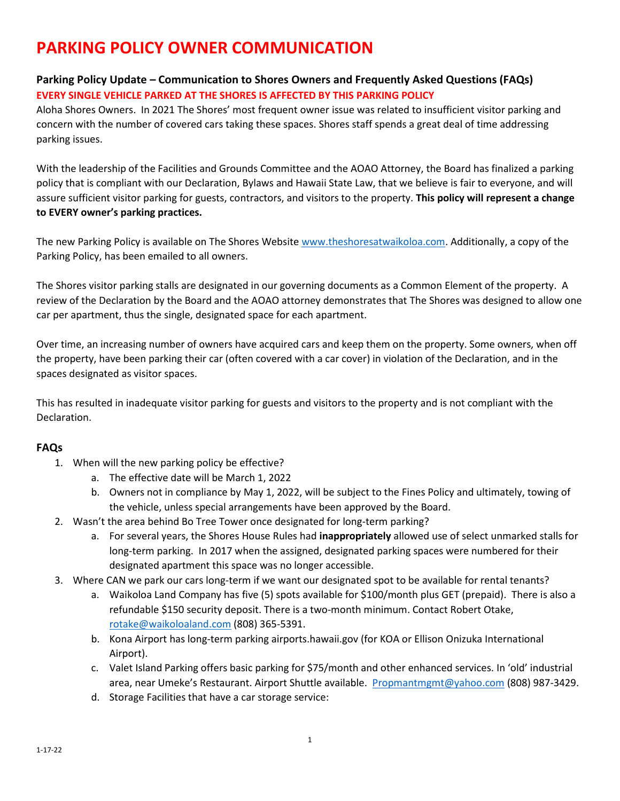## **PARKING POLICY OWNER COMMUNICATION**

## **Parking Policy Update – Communication to Shores Owners and Frequently Asked Questions (FAQs) EVERY SINGLE VEHICLE PARKED AT THE SHORES IS AFFECTED BY THIS PARKING POLICY**

Aloha Shores Owners. In 2021 The Shores' most frequent owner issue was related to insufficient visitor parking and concern with the number of covered cars taking these spaces. Shores staff spends a great deal of time addressing parking issues.

With the leadership of the Facilities and Grounds Committee and the AOAO Attorney, the Board has finalized a parking policy that is compliant with our Declaration, Bylaws and Hawaii State Law, that we believe is fair to everyone, and will assure sufficient visitor parking for guests, contractors, and visitors to the property. **This policy will represent a change to EVERY owner's parking practices.** 

The new Parking Policy is available on The Shores Website [www.theshoresatwaikoloa.com.](http://www.theshoresatwaikoloa.com/) Additionally, a copy of the Parking Policy, has been emailed to all owners.

The Shores visitor parking stalls are designated in our governing documents as a Common Element of the property. A review of the Declaration by the Board and the AOAO attorney demonstrates that The Shores was designed to allow one car per apartment, thus the single, designated space for each apartment.

Over time, an increasing number of owners have acquired cars and keep them on the property. Some owners, when off the property, have been parking their car (often covered with a car cover) in violation of the Declaration, and in the spaces designated as visitor spaces.

This has resulted in inadequate visitor parking for guests and visitors to the property and is not compliant with the Declaration.

## **FAQs**

- 1. When will the new parking policy be effective?
	- a. The effective date will be March 1, 2022
	- b. Owners not in compliance by May 1, 2022, will be subject to the Fines Policy and ultimately, towing of the vehicle, unless special arrangements have been approved by the Board.
- 2. Wasn't the area behind Bo Tree Tower once designated for long-term parking?
	- a. For several years, the Shores House Rules had **inappropriately** allowed use of select unmarked stalls for long-term parking. In 2017 when the assigned, designated parking spaces were numbered for their designated apartment this space was no longer accessible.
- 3. Where CAN we park our cars long-term if we want our designated spot to be available for rental tenants?
	- a. Waikoloa Land Company has five (5) spots available for \$100/month plus GET (prepaid). There is also a refundable \$150 security deposit. There is a two-month minimum. Contact Robert Otake, [rotake@waikoloaland.com](mailto:rotake@waikoloaland.com) (808) 365-5391.
	- b. Kona Airport has long-term parking airports.hawaii.gov (for KOA or Ellison Onizuka International Airport).
	- c. Valet Island Parking offers basic parking for \$75/month and other enhanced services. In 'old' industrial area, near Umeke's Restaurant. Airport Shuttle available. [Propmantmgmt@yahoo.com](mailto:Propmantmgmt@yahoo.com) (808) 987-3429.
	- d. Storage Facilities that have a car storage service: